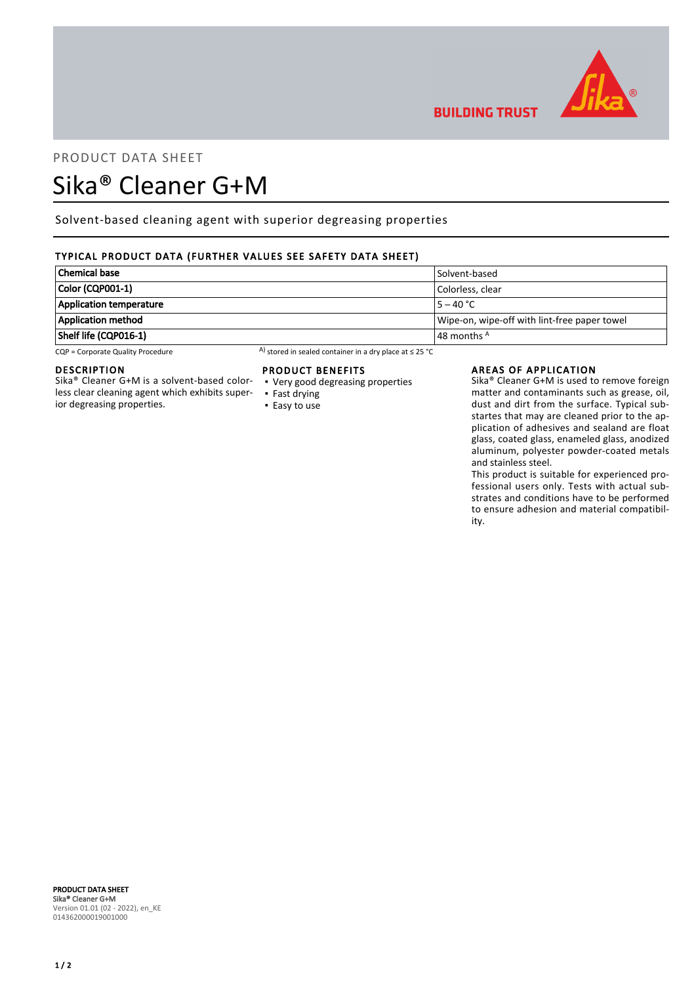

# PRODUCT DATA SHEET

# Sika® Cleaner G+M

Solvent-based cleaning agent with superior degreasing properties

# TYPICAL PRODUCT DATA (FURTHER VALUES SEE SAFETY DATA SHEET)

| Chemical base                  | Solvent-based                                |
|--------------------------------|----------------------------------------------|
| Color (CQP001-1)               | Colorless, clear                             |
| <b>Application temperature</b> | $5 - 40 °C$                                  |
| Application method             | Wipe-on, wipe-off with lint-free paper towel |
| Shelf life (CQP016-1)          | $\vert$ 48 months $^{\mathsf{A}}$            |

CQP = Corporate Quality Procedure A) stored in sealed container in a dry place at ≤ 25 °C

# DESCRIPTION

Sika® Cleaner G+M is a solvent-based colorless clear cleaning agent which exhibits superior degreasing properties.

### PRODUCT BENEFITS

- Very good degreasing properties ▪ Fast drying
- Easy to use

#### AREAS OF APPLICATION

**BUILDING TRUST** 

Sika® Cleaner G+M is used to remove foreign matter and contaminants such as grease, oil, dust and dirt from the surface. Typical substartes that may are cleaned prior to the application of adhesives and sealand are float glass, coated glass, enameled glass, anodized aluminum, polyester powder-coated metals and stainless steel.

This product is suitable for experienced professional users only. Tests with actual substrates and conditions have to be performed to ensure adhesion and material compatibility.

#### PRODUCT DATA SHEET Sika® Cleaner G+M Version 01.01 (02 - 2022), en\_KE 014362000019001000